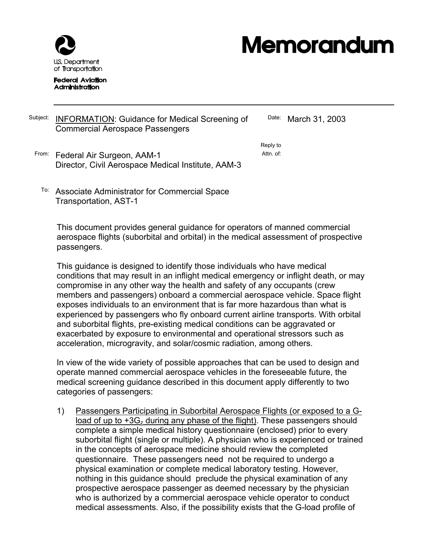

# **Memorandum**

#### **Federal Aviation Administration**

#### Subject: INFORMATION: Guidance for Medical Screening of Commercial Aerospace Passengers

Date: March 31, 2003

Reply to Attn. of:

- From: Federal Air Surgeon, AAM-1 Director, Civil Aerospace Medical Institute, AAM-3
	- To: Associate Administrator for Commercial Space Transportation, AST-1

This document provides general guidance for operators of manned commercial aerospace flights (suborbital and orbital) in the medical assessment of prospective passengers.

This guidance is designed to identify those individuals who have medical conditions that may result in an inflight medical emergency or inflight death, or may compromise in any other way the health and safety of any occupants (crew members and passengers) onboard a commercial aerospace vehicle. Space flight exposes individuals to an environment that is far more hazardous than what is experienced by passengers who fly onboard current airline transports. With orbital and suborbital flights, pre-existing medical conditions can be aggravated or exacerbated by exposure to environmental and operational stressors such as acceleration, microgravity, and solar/cosmic radiation, among others.

In view of the wide variety of possible approaches that can be used to design and operate manned commercial aerospace vehicles in the foreseeable future, the medical screening guidance described in this document apply differently to two categories of passengers:

1) Passengers Participating in Suborbital Aerospace Flights (or exposed to a Gload of up to +3Gz during any phase of the flight). These passengers should complete a simple medical history questionnaire (enclosed) prior to every suborbital flight (single or multiple). A physician who is experienced or trained in the concepts of aerospace medicine should review the completed questionnaire. These passengers need not be required to undergo a physical examination or complete medical laboratory testing. However, nothing in this guidance should preclude the physical examination of any prospective aerospace passenger as deemed necessary by the physician who is authorized by a commercial aerospace vehicle operator to conduct medical assessments. Also, if the possibility exists that the G-load profile of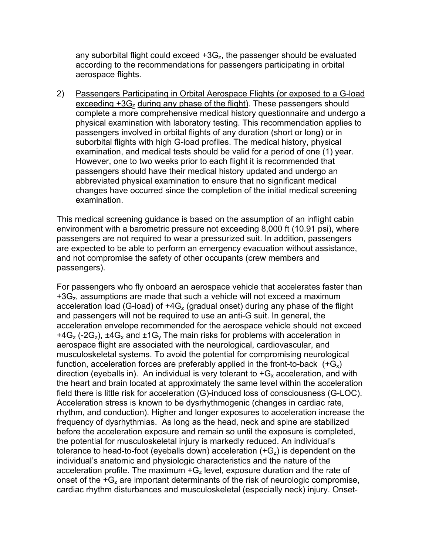any suborbital flight could exceed  $+3G_z$ , the passenger should be evaluated according to the recommendations for passengers participating in orbital aerospace flights.

2) Passengers Participating in Orbital Aerospace Flights (or exposed to a G-load exceeding +3Gz during any phase of the flight). These passengers should complete a more comprehensive medical history questionnaire and undergo a physical examination with laboratory testing. This recommendation applies to passengers involved in orbital flights of any duration (short or long) or in suborbital flights with high G-load profiles. The medical history, physical examination, and medical tests should be valid for a period of one (1) year. However, one to two weeks prior to each flight it is recommended that passengers should have their medical history updated and undergo an abbreviated physical examination to ensure that no significant medical changes have occurred since the completion of the initial medical screening examination.

This medical screening guidance is based on the assumption of an inflight cabin environment with a barometric pressure not exceeding 8,000 ft (10.91 psi), where passengers are not required to wear a pressurized suit. In addition, passengers are expected to be able to perform an emergency evacuation without assistance, and not compromise the safety of other occupants (crew members and passengers).

For passengers who fly onboard an aerospace vehicle that accelerates faster than  $+3G<sub>z</sub>$ , assumptions are made that such a vehicle will not exceed a maximum acceleration load (G-load) of  $+4G<sub>z</sub>$  (gradual onset) during any phase of the flight and passengers will not be required to use an anti-G suit. In general, the acceleration envelope recommended for the aerospace vehicle should not exceed +4G<sub>z</sub> (-2G<sub>z</sub>),  $\pm$ 4G<sub>x</sub> and  $\pm$ 1G<sub>y</sub> The main risks for problems with acceleration in aerospace flight are associated with the neurological, cardiovascular, and musculoskeletal systems. To avoid the potential for compromising neurological function, acceleration forces are preferably applied in the front-to-back  $(+G_x)$ direction (eyeballs in). An individual is very tolerant to  $+G_x$  acceleration, and with the heart and brain located at approximately the same level within the acceleration field there is little risk for acceleration (G)-induced loss of consciousness (G-LOC). Acceleration stress is known to be dysrhythmogenic (changes in cardiac rate, rhythm, and conduction). Higher and longer exposures to acceleration increase the frequency of dysrhythmias. As long as the head, neck and spine are stabilized before the acceleration exposure and remain so until the exposure is completed, the potential for musculoskeletal injury is markedly reduced. An individual's tolerance to head-to-foot (eyeballs down) acceleration  $(+G<sub>z</sub>)$  is dependent on the individual's anatomic and physiologic characteristics and the nature of the acceleration profile. The maximum  $+G<sub>z</sub>$  level, exposure duration and the rate of onset of the  $+G<sub>z</sub>$  are important determinants of the risk of neurologic compromise, cardiac rhythm disturbances and musculoskeletal (especially neck) injury. Onset-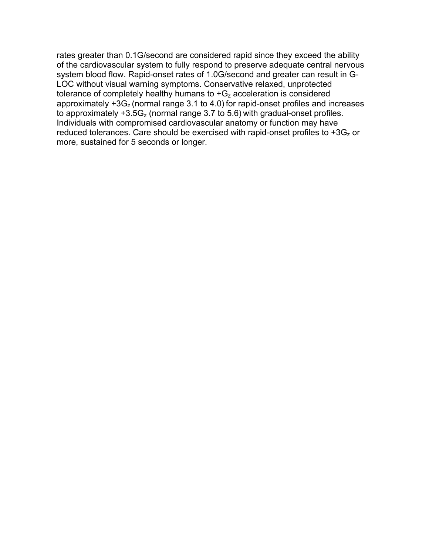rates greater than 0.1G/second are considered rapid since they exceed the ability of the cardiovascular system to fully respond to preserve adequate central nervous system blood flow. Rapid-onset rates of 1.0G/second and greater can result in G-LOC without visual warning symptoms. Conservative relaxed, unprotected tolerance of completely healthy humans to  $+G<sub>z</sub>$  acceleration is considered approximately  $+3G<sub>z</sub>$  (normal range 3.1 to 4.0) for rapid-onset profiles and increases to approximately  $+3.5G<sub>z</sub>$  (normal range 3.7 to 5.6) with gradual-onset profiles. Individuals with compromised cardiovascular anatomy or function may have reduced tolerances. Care should be exercised with rapid-onset profiles to  $+3G<sub>z</sub>$  or more, sustained for 5 seconds or longer.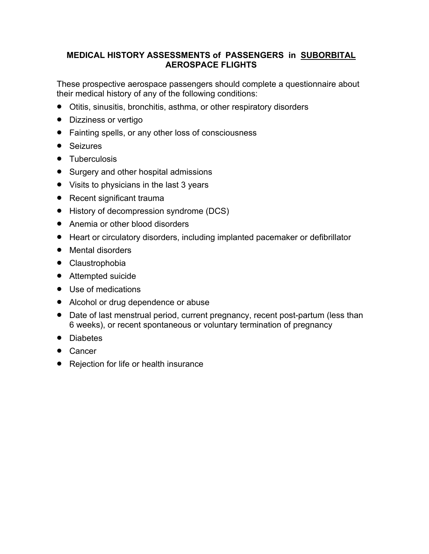# **MEDICAL HISTORY ASSESSMENTS of PASSENGERS in SUBORBITAL AEROSPACE FLIGHTS**

These prospective aerospace passengers should complete a questionnaire about their medical history of any of the following conditions:

- Otitis, sinusitis, bronchitis, asthma, or other respiratory disorders
- Dizziness or vertigo
- Fainting spells, or any other loss of consciousness
- Seizures
- Tuberculosis
- Surgery and other hospital admissions
- Visits to physicians in the last 3 years
- Recent significant trauma
- History of decompression syndrome (DCS)
- Anemia or other blood disorders
- Heart or circulatory disorders, including implanted pacemaker or defibrillator
- Mental disorders
- Claustrophobia
- Attempted suicide
- Use of medications
- Alcohol or drug dependence or abuse
- Date of last menstrual period, current pregnancy, recent post-partum (less than 6 weeks), or recent spontaneous or voluntary termination of pregnancy
- Diabetes
- Cancer
- Rejection for life or health insurance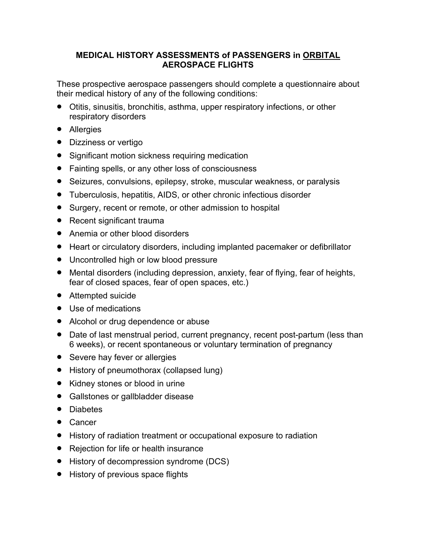# **MEDICAL HISTORY ASSESSMENTS of PASSENGERS in ORBITAL AEROSPACE FLIGHTS**

These prospective aerospace passengers should complete a questionnaire about their medical history of any of the following conditions:

- Otitis, sinusitis, bronchitis, asthma, upper respiratory infections, or other respiratory disorders
- Allergies
- Dizziness or vertigo
- Significant motion sickness requiring medication
- Fainting spells, or any other loss of consciousness
- Seizures, convulsions, epilepsy, stroke, muscular weakness, or paralysis
- Tuberculosis, hepatitis, AIDS, or other chronic infectious disorder
- Surgery, recent or remote, or other admission to hospital
- Recent significant trauma
- Anemia or other blood disorders
- Heart or circulatory disorders, including implanted pacemaker or defibrillator
- Uncontrolled high or low blood pressure
- Mental disorders (including depression, anxiety, fear of flying, fear of heights, fear of closed spaces, fear of open spaces, etc.)
- Attempted suicide
- Use of medications
- Alcohol or drug dependence or abuse
- Date of last menstrual period, current pregnancy, recent post-partum (less than 6 weeks), or recent spontaneous or voluntary termination of pregnancy
- Severe hay fever or allergies
- History of pneumothorax (collapsed lung)
- Kidney stones or blood in urine
- Gallstones or gallbladder disease
- Diabetes
- Cancer
- History of radiation treatment or occupational exposure to radiation
- Rejection for life or health insurance
- History of decompression syndrome (DCS)
- History of previous space flights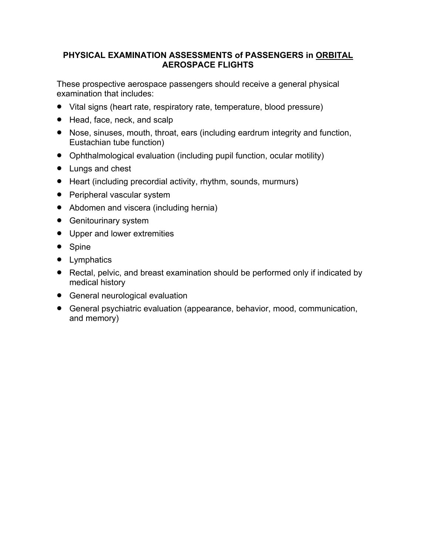## **PHYSICAL EXAMINATION ASSESSMENTS of PASSENGERS in ORBITAL AEROSPACE FLIGHTS**

These prospective aerospace passengers should receive a general physical examination that includes:

- Vital signs (heart rate, respiratory rate, temperature, blood pressure)
- Head, face, neck, and scalp
- Nose, sinuses, mouth, throat, ears (including eardrum integrity and function, Eustachian tube function)
- Ophthalmological evaluation (including pupil function, ocular motility)
- Lungs and chest
- Heart (including precordial activity, rhythm, sounds, murmurs)
- Peripheral vascular system
- Abdomen and viscera (including hernia)
- Genitourinary system
- Upper and lower extremities
- Spine
- Lymphatics
- Rectal, pelvic, and breast examination should be performed only if indicated by medical history
- General neurological evaluation
- General psychiatric evaluation (appearance, behavior, mood, communication, and memory)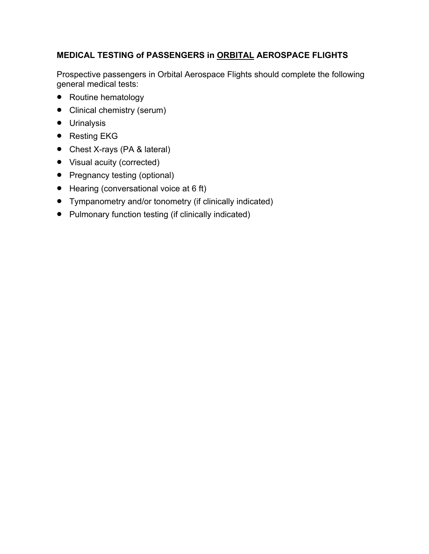# **MEDICAL TESTING of PASSENGERS in ORBITAL AEROSPACE FLIGHTS**

Prospective passengers in Orbital Aerospace Flights should complete the following general medical tests:

- Routine hematology
- Clinical chemistry (serum)
- Urinalysis
- Resting EKG
- Chest X-rays (PA & lateral)
- Visual acuity (corrected)
- Pregnancy testing (optional)
- Hearing (conversational voice at 6 ft)
- Tympanometry and/or tonometry (if clinically indicated)
- Pulmonary function testing (if clinically indicated)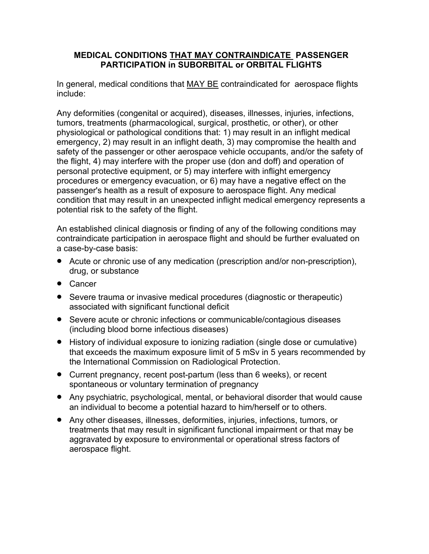#### **MEDICAL CONDITIONS THAT MAY CONTRAINDICATE PASSENGER PARTICIPATION in SUBORBITAL or ORBITAL FLIGHTS**

In general, medical conditions that MAY BE contraindicated for aerospace flights include:

Any deformities (congenital or acquired), diseases, illnesses, injuries, infections, tumors, treatments (pharmacological, surgical, prosthetic, or other), or other physiological or pathological conditions that: 1) may result in an inflight medical emergency, 2) may result in an inflight death, 3) may compromise the health and safety of the passenger or other aerospace vehicle occupants, and/or the safety of the flight, 4) may interfere with the proper use (don and doff) and operation of personal protective equipment, or 5) may interfere with inflight emergency procedures or emergency evacuation, or 6) may have a negative effect on the passenger's health as a result of exposure to aerospace flight. Any medical condition that may result in an unexpected inflight medical emergency represents a potential risk to the safety of the flight.

An established clinical diagnosis or finding of any of the following conditions may contraindicate participation in aerospace flight and should be further evaluated on a case-by-case basis:

- Acute or chronic use of any medication (prescription and/or non-prescription), drug, or substance
- Cancer
- Severe trauma or invasive medical procedures (diagnostic or therapeutic) associated with significant functional deficit
- Severe acute or chronic infections or communicable/contagious diseases (including blood borne infectious diseases)
- History of individual exposure to ionizing radiation (single dose or cumulative) that exceeds the maximum exposure limit of 5 mSv in 5 years recommended by the International Commission on Radiological Protection.
- Current pregnancy, recent post-partum (less than 6 weeks), or recent spontaneous or voluntary termination of pregnancy
- Any psychiatric, psychological, mental, or behavioral disorder that would cause an individual to become a potential hazard to him/herself or to others.
- Any other diseases, illnesses, deformities, injuries, infections, tumors, or treatments that may result in significant functional impairment or that may be aggravated by exposure to environmental or operational stress factors of aerospace flight.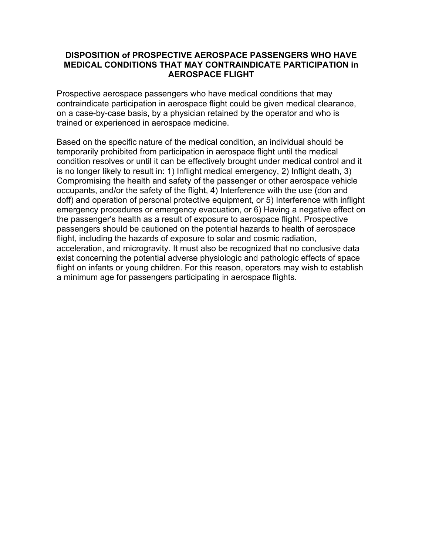#### **DISPOSITION of PROSPECTIVE AEROSPACE PASSENGERS WHO HAVE MEDICAL CONDITIONS THAT MAY CONTRAINDICATE PARTICIPATION in AEROSPACE FLIGHT**

Prospective aerospace passengers who have medical conditions that may contraindicate participation in aerospace flight could be given medical clearance, on a case-by-case basis, by a physician retained by the operator and who is trained or experienced in aerospace medicine.

Based on the specific nature of the medical condition, an individual should be temporarily prohibited from participation in aerospace flight until the medical condition resolves or until it can be effectively brought under medical control and it is no longer likely to result in: 1) Inflight medical emergency, 2) Inflight death, 3) Compromising the health and safety of the passenger or other aerospace vehicle occupants, and/or the safety of the flight, 4) Interference with the use (don and doff) and operation of personal protective equipment, or 5) Interference with inflight emergency procedures or emergency evacuation, or 6) Having a negative effect on the passenger's health as a result of exposure to aerospace flight. Prospective passengers should be cautioned on the potential hazards to health of aerospace flight, including the hazards of exposure to solar and cosmic radiation, acceleration, and microgravity. It must also be recognized that no conclusive data exist concerning the potential adverse physiologic and pathologic effects of space flight on infants or young children. For this reason, operators may wish to establish a minimum age for passengers participating in aerospace flights.